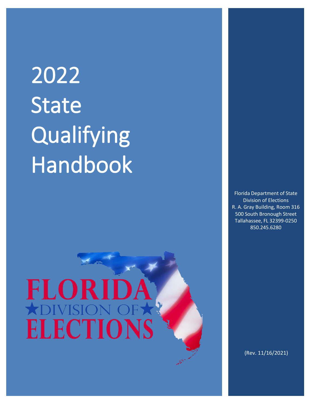# 2022 **State** Qualifying Handbook

## FLORI **ADIVISI ELECTIONS**

Florida Department of State Division of Elections R. A. Gray Building, Room 316 500 South Bronough Street Tallahassee, FL 32399-0250 850.245.6280

(Rev. 11/16/2021)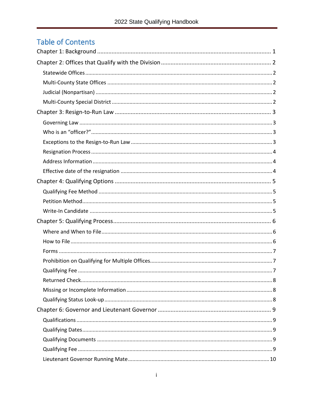## **Table of Contents**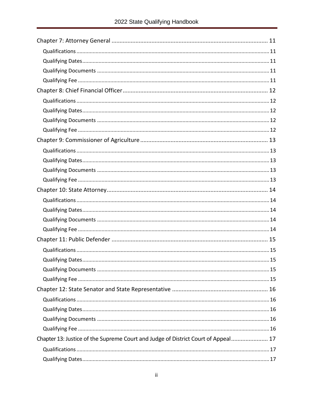| Chapter 13: Justice of the Supreme Court and Judge of District Court of Appeal 17 |
|-----------------------------------------------------------------------------------|
|                                                                                   |
|                                                                                   |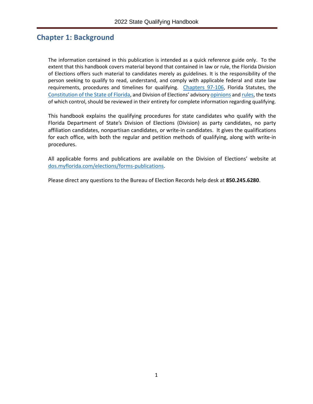## <span id="page-4-0"></span>**Chapter 1: Background**

The information contained in this publication is intended as a quick reference guide only. To the extent that this handbook covers material beyond that contained in law or rule, the Florida Division of Elections offers such material to candidates merely as guidelines. It is the responsibility of the person seeking to qualify to read, understand, and comply with applicable federal and state law requirements, procedures and timelines for qualifying. [Chapters 97-106,](http://www.leg.state.fl.us/Statutes/index.cfm?App_mode=Display_Index&Title_Request=IX#TitleIX) Florida Statutes, the [Constitution of the State of Florida,](http://www.leg.state.fl.us/Statutes/index.cfm?Mode=Constitution&Submenu=3&Tab=statutes&CFID=148407163&CFTOKEN=9c96c4f234e4152d-881C347F-95B9-75FC-68488447F2DCD9F5) and Division of Elections' advisory [opinions](https://dos.myflorida.com/elections/laws-rules/advisory-opinions/) an[d rules,](https://dos.myflorida.com/elections/laws-rules/rules/) the texts of which control, should be reviewed in their entirety for complete information regarding qualifying.

This handbook explains the qualifying procedures for state candidates who qualify with the Florida Department of State's Division of Elections (Division) as party candidates, no party affiliation candidates, nonpartisan candidates, or write-in candidates. It gives the qualifications for each office, with both the regular and petition methods of qualifying, along with write-in procedures.

All applicable forms and publications are available on the Division of Elections' website at [dos.myflorida.com/elections/forms-publications.](https://dos.myflorida.com/elections/forms-publications/)

Please direct any questions to the Bureau of Election Records help desk at **850.245.6280**.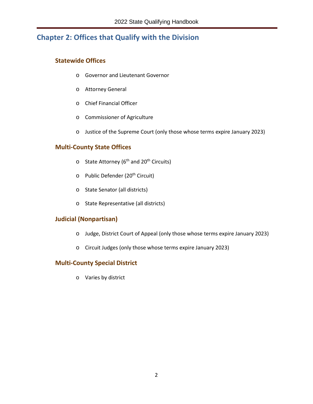## <span id="page-5-0"></span>**Chapter 2: Offices that Qualify with the Division**

#### <span id="page-5-1"></span>**Statewide Offices**

- o Governor and Lieutenant Governor
- o Attorney General
- o Chief Financial Officer
- o Commissioner of Agriculture
- o Justice of the Supreme Court (only those whose terms expire January 2023)

#### <span id="page-5-2"></span>**Multi-County State Offices**

- $\circ$  State Attorney (6<sup>th</sup> and 20<sup>th</sup> Circuits)
- o Public Defender (20<sup>th</sup> Circuit)
- o State Senator (all districts)
- o State Representative (all districts)

#### <span id="page-5-3"></span>**Judicial (Nonpartisan)**

- o Judge, District Court of Appeal (only those whose terms expire January 2023)
- o Circuit Judges (only those whose terms expire January 2023)

#### <span id="page-5-4"></span>**Multi-County Special District**

o Varies by district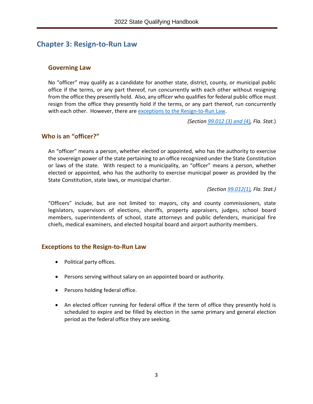## <span id="page-6-0"></span>**Chapter 3: Resign-to-Run Law**

#### <span id="page-6-1"></span>**Governing Law**

No "officer" may qualify as a candidate for another state, district, county, or municipal public office if the terms, or any part thereof, run concurrently with each other without resigning from the office they presently hold. Also, any officer who qualifies for federal public office must resign from the office they presently hold if the terms, or any part thereof, run concurrently with each other. However, there are [exceptions to the Resign-to-Run Law.](#page-6-3)

*(Section [99.012 \(3\) and \(4\),](http://www.leg.state.fl.us/statutes/index.cfm?mode=View%20Statutes&SubMenu=1&App_mode=Display_Statute&Search_String=99.012&URL=0000-0099/0099/Sections/0099.012.html) Fla. Stat.*)

#### <span id="page-6-2"></span>**Who is an "officer?"**

An "officer" means a person, whether elected or appointed, who has the authority to exercise the sovereign power of the state pertaining to an office recognized under the State Constitution or laws of the state. With respect to a municipality, an "officer" means a person, whether elected or appointed, who has the authority to exercise municipal power as provided by the State Constitution, state laws, or municipal charter.

*(Section [99.012\(1\),](http://www.leg.state.fl.us/statutes/index.cfm?mode=View%20Statutes&SubMenu=1&App_mode=Display_Statute&Search_String=99.012&URL=0000-0099/0099/Sections/0099.012.html) Fla. Stat.)* 

"Officers" include, but are not limited to: mayors, city and county commissioners, state legislators, supervisors of elections, sheriffs, property appraisers, judges, school board members, superintendents of school, state attorneys and public defenders, municipal fire chiefs, medical examiners, and elected hospital board and airport authority members.

#### <span id="page-6-3"></span>**Exceptions to the Resign-to-Run Law**

- Political party offices.
- Persons serving without salary on an appointed board or authority.
- Persons holding federal office.
- An elected officer running for federal office if the term of office they presently hold is scheduled to expire and be filled by election in the same primary and general election period as the federal office they are seeking.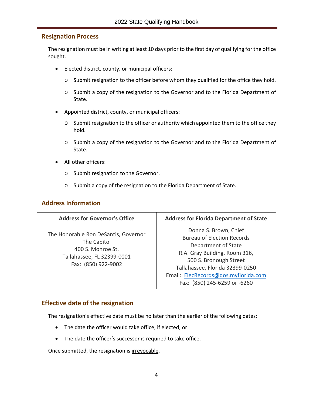#### <span id="page-7-0"></span>**Resignation Process**

The resignation must be in writing at least 10 days prior to the first day of qualifying for the office sought.

- Elected district, county, or municipal officers:
	- o Submit resignation to the officer before whom they qualified for the office they hold.
	- o Submit a copy of the resignation to the Governor and to the Florida Department of State.
- Appointed district, county, or municipal officers:
	- o Submit resignation to the officer or authority which appointed them to the office they hold.
	- o Submit a copy of the resignation to the Governor and to the Florida Department of State.
- All other officers:
	- o Submit resignation to the Governor.
	- o Submit a copy of the resignation to the Florida Department of State.

#### <span id="page-7-1"></span>**Address Information**

| <b>Address for Governor's Office</b>                                                                                          | <b>Address for Florida Department of State</b>                                                                                                                                                                                                          |
|-------------------------------------------------------------------------------------------------------------------------------|---------------------------------------------------------------------------------------------------------------------------------------------------------------------------------------------------------------------------------------------------------|
| The Honorable Ron DeSantis, Governor<br>The Capitol<br>400 S. Monroe St.<br>Tallahassee, FL 32399-0001<br>Fax: (850) 922-9002 | Donna S. Brown, Chief<br><b>Bureau of Election Records</b><br>Department of State<br>R.A. Gray Building, Room 316,<br>500 S. Bronough Street<br>Tallahassee, Florida 32399-0250<br>Email: ElecRecords@dos.myflorida.com<br>Fax: (850) 245-6259 or -6260 |

#### <span id="page-7-2"></span>**Effective date of the resignation**

The resignation's effective date must be no later than the earlier of the following dates:

- The date the officer would take office, if elected; or
- The date the officer's successor is required to take office.

Once submitted, the resignation is irrevocable.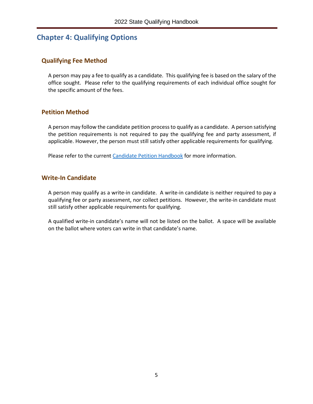## <span id="page-8-0"></span>**Chapter 4: Qualifying Options**

#### <span id="page-8-1"></span>**Qualifying Fee Method**

A person may pay a fee to qualify as a candidate. This qualifying fee is based on the salary of the office sought. Please refer to the qualifying requirements of each individual office sought for the specific amount of the fees.

#### <span id="page-8-2"></span>**Petition Method**

A person may follow the candidate petition processto qualify as a candidate. A person satisfying the petition requirements is not required to pay the qualifying fee and party assessment, if applicable. However, the person must still satisfy other applicable requirements for qualifying.

Please refer to the current [Candidate Petition Handbook](https://dos.myflorida.com/elections/forms-publications/publications/) for more information.

#### <span id="page-8-3"></span>**Write-In Candidate**

A person may qualify as a write-in candidate. A write-in candidate is neither required to pay a qualifying fee or party assessment, nor collect petitions. However, the write-in candidate must still satisfy other applicable requirements for qualifying.

A qualified write-in candidate's name will not be listed on the ballot. A space will be available on the ballot where voters can write in that candidate's name.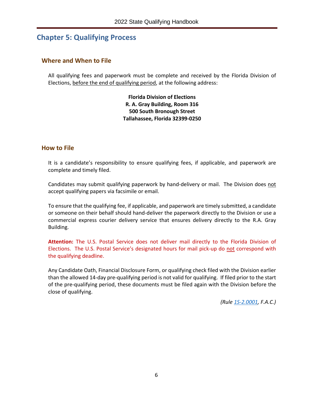## <span id="page-9-0"></span>**Chapter 5: Qualifying Process**

#### <span id="page-9-1"></span>**Where and When to File**

All qualifying fees and paperwork must be complete and received by the Florida Division of Elections, before the end of qualifying period, at the following address:

> **Florida Division of Elections R. A. Gray Building, Room 316 500 South Bronough Street Tallahassee, Florida 32399-0250**

#### <span id="page-9-2"></span>**How to File**

It is a candidate's responsibility to ensure qualifying fees, if applicable, and paperwork are complete and timely filed.

Candidates may submit qualifying paperwork by hand-delivery or mail. The Division does not accept qualifying papers via facsimile or email.

To ensure that the qualifying fee, if applicable, and paperwork are timely submitted, a candidate or someone on their behalf should hand-deliver the paperwork directly to the Division or use a commercial express courier delivery service that ensures delivery directly to the R.A. Gray Building.

**Attention:** The U.S. Postal Service does not deliver mail directly to the Florida Division of Elections. The U.S. Postal Service's designated hours for mail pick-up do not correspond with the qualifying deadline.

Any Candidate Oath, Financial Disclosure Form, or qualifying check filed with the Division earlier than the allowed 14-day pre-qualifying period is not valid for qualifying. If filed prior to the start of the pre-qualifying period, these documents must be filed again with the Division before the close of qualifying.

*(Rule [1S-2.0001,](https://www.flrules.org/gateway/RuleNo.asp?title=ELECTIONS&ID=1S-2.0001) F.A.C.)*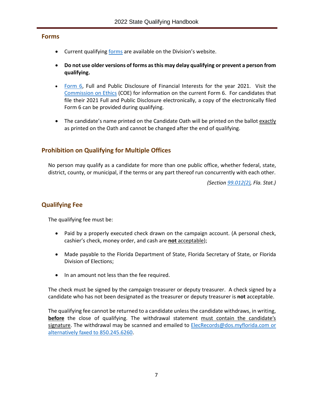#### <span id="page-10-0"></span>**Forms**

- Current qualifying [forms](https://dos.myflorida.com/elections/forms-publications/forms/) are available on the Division's website.
- **Do not use older versions of forms as this may delay qualifying or prevent a person from qualifying.**
- [Form 6,](http://www.ethics.state.fl.us/Index.aspx) Full and Public Disclosure of Financial Interests for the year 2021. Visit the [Commission on Ethics](http://www.ethics.state.fl.us/) (COE) for information on the current Form 6. For candidates that file their 2021 Full and Public Disclosure electronically, a copy of the electronically filed Form 6 can be provided during qualifying.
- The candidate's name printed on the Candidate Oath will be printed on the ballot exactly as printed on the Oath and cannot be changed after the end of qualifying.

#### <span id="page-10-1"></span>**Prohibition on Qualifying for Multiple Offices**

No person may qualify as a candidate for more than one public office, whether federal, state, district, county, or municipal, if the terms or any part thereof run concurrently with each other.

*(Section [99.012\(2\),](http://www.leg.state.fl.us/statutes/index.cfm?mode=View%20Statutes&SubMenu=1&App_mode=Display_Statute&Search_String=99.012&URL=0000-0099/0099/Sections/0099.012.html) Fla. Stat.)*

#### <span id="page-10-2"></span>**Qualifying Fee**

The qualifying fee must be:

- Paid by a properly executed check drawn on the campaign account. (A personal check, cashier's check, money order, and cash are **not** acceptable);
- Made payable to the Florida Department of State, Florida Secretary of State, or Florida Division of Elections;
- In an amount not less than the fee required.

The check must be signed by the campaign treasurer or deputy treasurer. A check signed by a candidate who has not been designated as the treasurer or deputy treasurer is **not** acceptable.

The qualifying fee cannot be returned to a candidate unless the candidate withdraws, in writing, **before** the close of qualifying. The withdrawal statement must contain the candidate's signature. The withdrawal may be scanned and emailed to [ElecRecords@dos.myflorida.com](mailto:elecrecords@dos.myflorida.com) or alternatively faxed to 850.245.6260.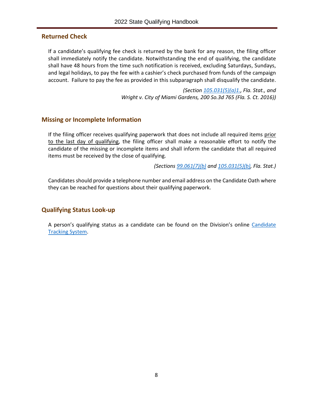#### <span id="page-11-0"></span>**Returned Check**

If a candidate's qualifying fee check is returned by the bank for any reason, the filing officer shall immediately notify the candidate. Notwithstanding the end of qualifying, the candidate shall have 48 hours from the time such notification is received, excluding Saturdays, Sundays, and legal holidays, to pay the fee with a cashier's check purchased from funds of the campaign account. Failure to pay the fee as provided in this subparagraph shall disqualify the candidate.

> *(Section [105.031\(5\)\(a\)1.,](http://www.leg.state.fl.us/Statutes/index.cfm?App_mode=Display_Statute&Search_String=&URL=0100-0199/0105/Sections/0105.031.html) Fla. Stat., and Wright v. City of Miami Gardens, 200 So.3d 765 (Fla. S. Ct. 2016))*

#### <span id="page-11-1"></span>**Missing or Incomplete Information**

If the filing officer receives qualifying paperwork that does not include all required items prior to the last day of qualifying, the filing officer shall make a reasonable effort to notify the candidate of the missing or incomplete items and shall inform the candidate that all required items must be received by the close of qualifying.

*(Section[s 99.061\(7\)\(b\)](http://www.leg.state.fl.us/Statutes/index.cfm?App_mode=Display_Statute&Search_String=&URL=0000-0099/0099/Sections/0099.061.html) and [105.031\(5\)\(b\),](http://www.leg.state.fl.us/Statutes/index.cfm?App_mode=Display_Statute&Search_String=&URL=0100-0199/0105/Sections/0105.031.html) Fla. Stat.)*

Candidates should provide a telephone number and email address on the Candidate Oath where they can be reached for questions about their qualifying paperwork.

#### <span id="page-11-2"></span>**Qualifying Status Look-up**

A person's qualifying status as a candidate can be found on the Division's online [Candidate](https://dos.elections.myflorida.com/candidates/)  [Tracking System.](https://dos.elections.myflorida.com/candidates/)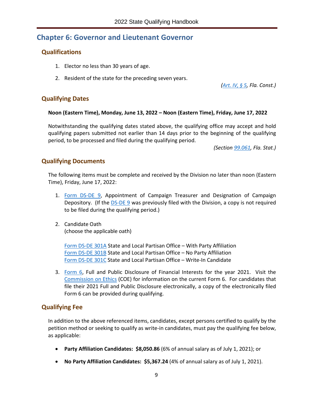## <span id="page-12-0"></span>**Chapter 6: Governor and Lieutenant Governor**

#### <span id="page-12-1"></span>**Qualifications**

- 1. Elector no less than 30 years of age.
- 2. Resident of the state for the preceding seven years.

*[\(Art. IV, § 5,](http://www.leg.state.fl.us/Statutes/index.cfm?Mode=Constitution&Submenu=3&Tab=statutes&CFID=147761467&CFTOKEN=721d95ca8ba9bb27-F5E234C2-E565-B2CB-B34609D8A03679D5#A4S05) Fla. Const.)*

#### <span id="page-12-2"></span>**Qualifying Dates**

#### **Noon (Eastern Time), Monday, June 13, 2022 – Noon (Eastern Time), Friday, June 17, 2022**

Notwithstanding the qualifying dates stated above, the qualifying office may accept and hold qualifying papers submitted not earlier than 14 days prior to the beginning of the qualifying period, to be processed and filed during the qualifying period.

*(Section [99.061,](http://www.leg.state.fl.us/Statutes/index.cfm?App_mode=Display_Statute&Search_String=&URL=0000-0099/0099/Sections/0099.061.html) Fla. Stat.)*

#### <span id="page-12-3"></span>**Qualifying Documents**

The following items must be complete and received by the Division no later than noon (Eastern Time), Friday, June 17, 2022:

- 1. [Form DS-DE 9,](https://dos.myflorida.com/elections/forms-publications/forms/statewide-or-multicounty-candidate-forms/) Appointment of Campaign Treasurer and Designation of Campaign Depository. (If the [DS-DE 9](https://dos.myflorida.com/elections/forms-publications/forms/statewide-or-multicounty-candidate-forms/) was previously filed with the Division, a copy is not required to be filed during the qualifying period.)
- 2. Candidate Oath (choose the applicable oath)

Form DS-DE 301A State and Local Partisan Office – With Party Affiliation [Form DS-DE 301B](https://files.floridados.gov/media/704468/dsde301b-state-and-local-partisan-oath-no-pty-aff-may-2021.pdf) State and Local Partisan Office – No Party Affiliation [Form DS-DE 301C](https://files.floridados.gov/media/704469/dsde301c-state-and-local-partisan-oath-write-in-may-2021.pdf) State and Local Partisan Office – Write-In Candidate

3. [Form 6,](http://www.ethics.state.fl.us/Index.aspx) Full and Public Disclosure of Financial Interests for the year 2021. Visit the [Commission on Ethics](http://www.ethics.state.fl.us/) (COE) for information on the current Form 6. For candidates that file their 2021 Full and Public Disclosure electronically, a copy of the electronically filed Form 6 can be provided during qualifying.

#### <span id="page-12-4"></span>**Qualifying Fee**

- **Party Affiliation Candidates: \$8,050.86** (6% of annual salary as of July 1, 2021); or
- **No Party Affiliation Candidates: \$5,367.24** (4% of annual salary as of July 1, 2021).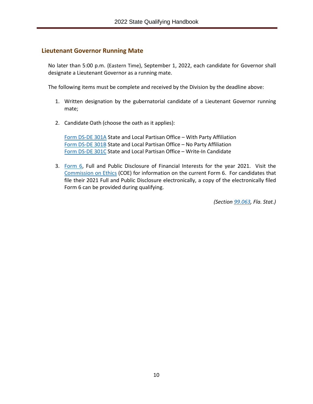#### <span id="page-13-0"></span>**Lieutenant Governor Running Mate**

No later than 5:00 p.m. (Eastern Time), September 1, 2022, each candidate for Governor shall designate a Lieutenant Governor as a running mate.

The following items must be complete and received by the Division by the deadline above:

- 1. Written designation by the gubernatorial candidate of a Lieutenant Governor running mate;
- 2. Candidate Oath (choose the oath as it applies):

[Form DS-DE 301A](file://dossdoefs1/capidoeshare/ELECREC/2022%20Handbooks/State%20Qualifying/Form%20DS-DE%20301A) State and Local Partisan Office – With Party Affiliation [Form DS-DE 301B](https://files.floridados.gov/media/704468/dsde301b-state-and-local-partisan-oath-no-pty-aff-may-2021.pdf) State and Local Partisan Office – No Party Affiliation [Form DS-DE 301C](https://files.floridados.gov/media/704469/dsde301c-state-and-local-partisan-oath-write-in-may-2021.pdf) State and Local Partisan Office – Write-In Candidate

3. [Form 6,](http://www.ethics.state.fl.us/Index.aspx) Full and Public Disclosure of Financial Interests for the year 2021. Visit the [Commission on Ethics](http://www.ethics.state.fl.us/) (COE) for information on the current Form 6. For candidates that file their 2021 Full and Public Disclosure electronically, a copy of the electronically filed Form 6 can be provided during qualifying.

*(Section [99.063,](http://www.leg.state.fl.us/Statutes/index.cfm?App_mode=Display_Statute&Search_String=&URL=0000-0099/0099/Sections/0099.063.html) Fla. Stat.)*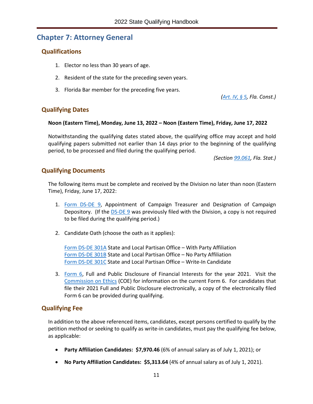## <span id="page-14-0"></span>**Chapter 7: Attorney General**

#### <span id="page-14-1"></span>**Qualifications**

- 1. Elector no less than 30 years of age.
- 2. Resident of the state for the preceding seven years.
- 3. Florida Bar member for the preceding five years.

*[\(Art. IV, § 5,](http://www.leg.state.fl.us/Statutes/index.cfm?Mode=Constitution&Submenu=3&Tab=statutes&CFID=147761467&CFTOKEN=721d95ca8ba9bb27-F5E234C2-E565-B2CB-B34609D8A03679D5#A4S05) Fla. Const.)*

#### <span id="page-14-2"></span>**Qualifying Dates**

#### **Noon (Eastern Time), Monday, June 13, 2022 – Noon (Eastern Time), Friday, June 17, 2022**

Notwithstanding the qualifying dates stated above, the qualifying office may accept and hold qualifying papers submitted not earlier than 14 days prior to the beginning of the qualifying period, to be processed and filed during the qualifying period.

*(Section [99.061,](http://www.leg.state.fl.us/Statutes/index.cfm?App_mode=Display_Statute&Search_String=&URL=0000-0099/0099/Sections/0099.061.html) Fla. Stat.)*

#### <span id="page-14-3"></span>**Qualifying Documents**

The following items must be complete and received by the Division no later than noon (Eastern Time), Friday, June 17, 2022:

- 1. [Form DS-DE 9,](https://dos.myflorida.com/elections/forms-publications/forms/statewide-or-multicounty-candidate-forms/) Appointment of Campaign Treasurer and Designation of Campaign Depository. (If the [DS-DE 9](https://dos.myflorida.com/elections/forms-publications/forms/statewide-or-multicounty-candidate-forms/) was previously filed with the Division, a copy is not required to be filed during the qualifying period.)
- 2. Candidate Oath (choose the oath as it applies):

[Form DS-DE 301A](file://dossdoefs1/capidoeshare/ELECREC/2022%20Handbooks/State%20Qualifying/Form%20DS-DE%20301A) State and Local Partisan Office – With Party Affiliation [Form DS-DE 301B](https://files.floridados.gov/media/704468/dsde301b-state-and-local-partisan-oath-no-pty-aff-may-2021.pdf) State and Local Partisan Office – No Party Affiliation [Form DS-DE 301C](https://files.floridados.gov/media/704469/dsde301c-state-and-local-partisan-oath-write-in-may-2021.pdf) State and Local Partisan Office – Write-In Candidate

3. [Form 6,](http://www.ethics.state.fl.us/Index.aspx) Full and Public Disclosure of Financial Interests for the year 2021. Visit the [Commission on Ethics](http://www.ethics.state.fl.us/) (COE) for information on the current Form 6. For candidates that file their 2021 Full and Public Disclosure electronically, a copy of the electronically filed Form 6 can be provided during qualifying.

#### <span id="page-14-4"></span>**Qualifying Fee**

- **Party Affiliation Candidates: \$7,970.46** (6% of annual salary as of July 1, 2021); or
- **No Party Affiliation Candidates: \$5,313.64** (4% of annual salary as of July 1, 2021).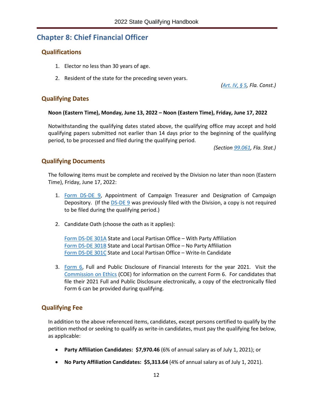## <span id="page-15-0"></span>**Chapter 8: Chief Financial Officer**

#### <span id="page-15-1"></span>**Qualifications**

- 1. Elector no less than 30 years of age.
- 2. Resident of the state for the preceding seven years.

*[\(Art. IV, § 5,](http://www.leg.state.fl.us/Statutes/index.cfm?Mode=Constitution&Submenu=3&Tab=statutes&CFID=147761467&CFTOKEN=721d95ca8ba9bb27-F5E234C2-E565-B2CB-B34609D8A03679D5#A4S05) Fla. Const.)*

#### <span id="page-15-2"></span>**Qualifying Dates**

#### **Noon (Eastern Time), Monday, June 13, 2022 – Noon (Eastern Time), Friday, June 17, 2022**

Notwithstanding the qualifying dates stated above, the qualifying office may accept and hold qualifying papers submitted not earlier than 14 days prior to the beginning of the qualifying period, to be processed and filed during the qualifying period.

*(Section [99.061,](http://www.leg.state.fl.us/Statutes/index.cfm?App_mode=Display_Statute&Search_String=&URL=0000-0099/0099/Sections/0099.061.html) Fla. Stat.)*

#### <span id="page-15-3"></span>**Qualifying Documents**

The following items must be complete and received by the Division no later than noon (Eastern Time), Friday, June 17, 2022:

- 1. [Form DS-DE 9,](https://dos.myflorida.com/elections/forms-publications/forms/statewide-or-multicounty-candidate-forms/) Appointment of Campaign Treasurer and Designation of Campaign Depository. (If the [DS-DE 9](https://dos.myflorida.com/elections/forms-publications/forms/statewide-or-multicounty-candidate-forms/) was previously filed with the Division, a copy is not required to be filed during the qualifying period.)
- 2. Candidate Oath (choose the oath as it applies):

[Form DS-DE 301A](file://dossdoefs1/capidoeshare/ELECREC/2022%20Handbooks/State%20Qualifying/Form%20DS-DE%20301A) State and Local Partisan Office – With Party Affiliation [Form DS-DE 301B](https://files.floridados.gov/media/704468/dsde301b-state-and-local-partisan-oath-no-pty-aff-may-2021.pdf) State and Local Partisan Office – No Party Affiliation [Form DS-DE 301C](https://files.floridados.gov/media/704469/dsde301c-state-and-local-partisan-oath-write-in-may-2021.pdf) State and Local Partisan Office – Write-In Candidate

3. [Form 6,](http://www.ethics.state.fl.us/Index.aspx) Full and Public Disclosure of Financial Interests for the year 2021. Visit the [Commission on Ethics](http://www.ethics.state.fl.us/) (COE) for information on the current Form 6. For candidates that file their 2021 Full and Public Disclosure electronically, a copy of the electronically filed Form 6 can be provided during qualifying.

#### <span id="page-15-4"></span>**Qualifying Fee**

- **Party Affiliation Candidates: \$7,970.46** (6% of annual salary as of July 1, 2021); or
- **No Party Affiliation Candidates: \$5,313.64** (4% of annual salary as of July 1, 2021).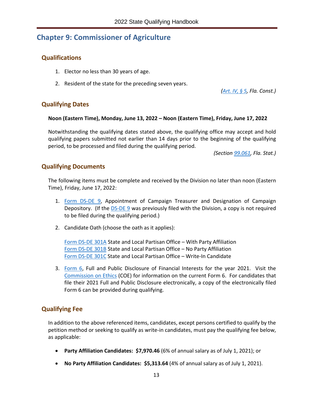## <span id="page-16-0"></span>**Chapter 9: Commissioner of Agriculture**

#### <span id="page-16-1"></span>**Qualifications**

- 1. Elector no less than 30 years of age.
- 2. Resident of the state for the preceding seven years.

*[\(Art. IV, § 5,](http://www.leg.state.fl.us/Statutes/index.cfm?Mode=Constitution&Submenu=3&Tab=statutes&CFID=147761467&CFTOKEN=721d95ca8ba9bb27-F5E234C2-E565-B2CB-B34609D8A03679D5#A4S05) Fla. Const.)*

#### <span id="page-16-2"></span>**Qualifying Dates**

#### **Noon (Eastern Time), Monday, June 13, 2022 – Noon (Eastern Time), Friday, June 17, 2022**

Notwithstanding the qualifying dates stated above, the qualifying office may accept and hold qualifying papers submitted not earlier than 14 days prior to the beginning of the qualifying period, to be processed and filed during the qualifying period.

*(Section [99.061,](http://www.leg.state.fl.us/Statutes/index.cfm?App_mode=Display_Statute&Search_String=&URL=0000-0099/0099/Sections/0099.061.html) Fla. Stat.)*

#### <span id="page-16-3"></span>**Qualifying Documents**

The following items must be complete and received by the Division no later than noon (Eastern Time), Friday, June 17, 2022:

- 1. [Form DS-DE 9,](https://dos.myflorida.com/elections/forms-publications/forms/statewide-or-multicounty-candidate-forms/) Appointment of Campaign Treasurer and Designation of Campaign Depository. (If the [DS-DE 9](https://dos.myflorida.com/elections/forms-publications/forms/statewide-or-multicounty-candidate-forms/) was previously filed with the Division, a copy is not required to be filed during the qualifying period.)
- 2. Candidate Oath (choose the oath as it applies):

[Form DS-DE 301A](file://dossdoefs1/capidoeshare/ELECREC/2022%20Handbooks/State%20Qualifying/Form%20DS-DE%20301A) State and Local Partisan Office – With Party Affiliation [Form DS-DE 301B](https://files.floridados.gov/media/704468/dsde301b-state-and-local-partisan-oath-no-pty-aff-may-2021.pdf) State and Local Partisan Office – No Party Affiliation [Form DS-DE 301C](https://files.floridados.gov/media/704469/dsde301c-state-and-local-partisan-oath-write-in-may-2021.pdf) State and Local Partisan Office – Write-In Candidate

3. [Form 6,](http://www.ethics.state.fl.us/Index.aspx) Full and Public Disclosure of Financial Interests for the year 2021. Visit the [Commission on Ethics](http://www.ethics.state.fl.us/) (COE) for information on the current Form 6. For candidates that file their 2021 Full and Public Disclosure electronically, a copy of the electronically filed Form 6 can be provided during qualifying.

#### <span id="page-16-4"></span>**Qualifying Fee**

- **Party Affiliation Candidates: \$7,970.46** (6% of annual salary as of July 1, 2021); or
- **No Party Affiliation Candidates: \$5,313.64** (4% of annual salary as of July 1, 2021).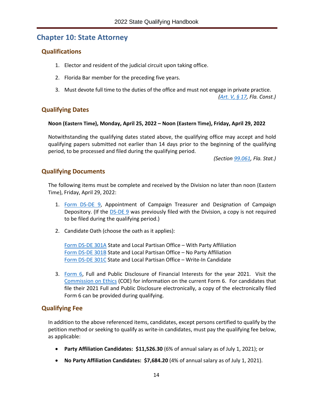## <span id="page-17-0"></span>**Chapter 10: State Attorney**

#### <span id="page-17-1"></span>**Qualifications**

- 1. Elector and resident of the judicial circuit upon taking office.
- 2. Florida Bar member for the preceding five years.
- 3. Must devote full time to the duties of the office and must not engage in private practice.

*[\(Art. V, § 17,](http://www.leg.state.fl.us/Statutes/index.cfm?Mode=Constitution&Submenu=3&Tab=statutes&CFID=13195281&CFTOKEN=ae5e12d0fe5032ed-80DC943E-0731-6B01-C7AB58BCCDC7BF98#A5S17) Fla. Const.)*

#### <span id="page-17-2"></span>**Qualifying Dates**

#### **Noon (Eastern Time), Monday, April 25, 2022 – Noon (Eastern Time), Friday, April 29, 2022**

Notwithstanding the qualifying dates stated above, the qualifying office may accept and hold qualifying papers submitted not earlier than 14 days prior to the beginning of the qualifying period, to be processed and filed during the qualifying period.

*(Section [99.061,](http://www.leg.state.fl.us/Statutes/index.cfm?App_mode=Display_Statute&Search_String=&URL=0000-0099/0099/Sections/0099.061.html) Fla. Stat.)*

#### <span id="page-17-3"></span>**Qualifying Documents**

The following items must be complete and received by the Division no later than noon (Eastern Time), Friday, April 29, 2022:

- 1. [Form DS-DE 9,](https://dos.myflorida.com/elections/forms-publications/forms/statewide-or-multicounty-candidate-forms/) Appointment of Campaign Treasurer and Designation of Campaign Depository. (If the [DS-DE 9](https://dos.myflorida.com/elections/forms-publications/forms/statewide-or-multicounty-candidate-forms/) was previously filed with the Division, a copy is not required to be filed during the qualifying period.)
- 2. Candidate Oath (choose the oath as it applies):

[Form DS-DE 301A](file://dossdoefs1/capidoeshare/ELECREC/2022%20Handbooks/State%20Qualifying/Form%20DS-DE%20301A) State and Local Partisan Office – With Party Affiliation [Form DS-DE 301B](https://files.floridados.gov/media/704468/dsde301b-state-and-local-partisan-oath-no-pty-aff-may-2021.pdf) State and Local Partisan Office – No Party Affiliation [Form DS-DE 301C](https://files.floridados.gov/media/704469/dsde301c-state-and-local-partisan-oath-write-in-may-2021.pdf) State and Local Partisan Office – Write-In Candidate

3. [Form 6,](http://www.ethics.state.fl.us/Index.aspx) Full and Public Disclosure of Financial Interests for the year 2021. Visit the [Commission on Ethics](http://www.ethics.state.fl.us/) (COE) for information on the current Form 6. For candidates that file their 2021 Full and Public Disclosure electronically, a copy of the electronically filed Form 6 can be provided during qualifying.

#### <span id="page-17-4"></span>**Qualifying Fee**

- **Party Affiliation Candidates: \$11,526.30** (6% of annual salary as of July 1, 2021); or
- **No Party Affiliation Candidates: \$7,684.20** (4% of annual salary as of July 1, 2021).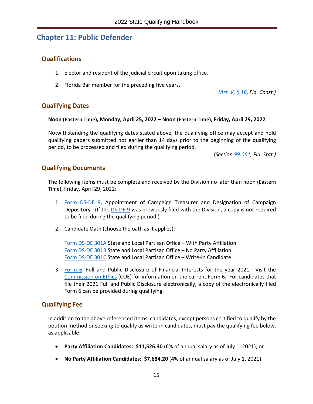## <span id="page-18-0"></span>**Chapter 11: Public Defender**

#### <span id="page-18-1"></span>**Qualifications**

- 1. Elector and resident of the judicial circuit upon taking office.
- 2. Florida Bar member for the preceding five years.

*[\(Art. V, § 18,](http://www.leg.state.fl.us/Statutes/index.cfm?Mode=Constitution&Submenu=3&Tab=statutes&CFID=13195281&CFTOKEN=ae5e12d0fe5032ed-80DC943E-0731-6B01-C7AB58BCCDC7BF98#A5S18) Fla. Const.)*

#### <span id="page-18-2"></span>**Qualifying Dates**

#### **Noon (Eastern Time), Monday, April 25, 2022 – Noon (Eastern Time), Friday, April 29, 2022**

Notwithstanding the qualifying dates stated above, the qualifying office may accept and hold qualifying papers submitted not earlier than 14 days prior to the beginning of the qualifying period, to be processed and filed during the qualifying period.

*(Section [99.061,](http://www.leg.state.fl.us/Statutes/index.cfm?App_mode=Display_Statute&Search_String=&URL=0000-0099/0099/Sections/0099.061.html) Fla. Stat.)*

#### <span id="page-18-3"></span>**Qualifying Documents**

The following items must be complete and received by the Division no later than noon (Eastern Time), Friday, April 29, 2022:

- 1. [Form DS-DE 9,](https://dos.myflorida.com/elections/forms-publications/forms/statewide-or-multicounty-candidate-forms/) Appointment of Campaign Treasurer and Designation of Campaign Depository. (If the [DS-DE 9](https://dos.myflorida.com/elections/forms-publications/forms/statewide-or-multicounty-candidate-forms/) was previously filed with the Division, a copy is not required to be filed during the qualifying period.)
- 2. Candidate Oath (choose the oath as it applies):

[Form DS-DE 301A](file://dossdoefs1/capidoeshare/ELECREC/2022%20Handbooks/State%20Qualifying/Form%20DS-DE%20301A) State and Local Partisan Office – With Party Affiliation [Form DS-DE 301B](https://files.floridados.gov/media/704468/dsde301b-state-and-local-partisan-oath-no-pty-aff-may-2021.pdf) State and Local Partisan Office – No Party Affiliation [Form DS-DE 301C](https://files.floridados.gov/media/704469/dsde301c-state-and-local-partisan-oath-write-in-may-2021.pdf) State and Local Partisan Office – Write-In Candidate

3. [Form 6,](http://www.ethics.state.fl.us/Index.aspx) Full and Public Disclosure of Financial Interests for the year 2021. Visit the [Commission on Ethics](http://www.ethics.state.fl.us/) (COE) for information on the current Form 6. For candidates that file their 2021 Full and Public Disclosure electronically, a copy of the electronically filed Form 6 can be provided during qualifying.

#### <span id="page-18-4"></span>**Qualifying Fee**

- **Party Affiliation Candidates: \$11,526.30** (6% of annual salary as of July 1, 2021); or
- **No Party Affiliation Candidates: \$7,684.20** (4% of annual salary as of July 1, 2021).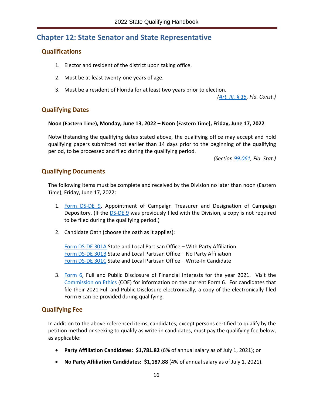## <span id="page-19-0"></span>**Chapter 12: State Senator and State Representative**

#### <span id="page-19-1"></span>**Qualifications**

- 1. Elector and resident of the district upon taking office.
- 2. Must be at least twenty-one years of age.
- 3. Must be a resident of Florida for at least two years prior to election.

*[\(Art. III, § 15,](http://www.leg.state.fl.us/Statutes/index.cfm?Mode=Constitution&Submenu=3&Tab=statutes&CFID=13195281&CFTOKEN=ae5e12d0fe5032ed-80DC943E-0731-6B01-C7AB58BCCDC7BF98#A3S15) Fla. Const.)*

#### <span id="page-19-2"></span>**Qualifying Dates**

#### **Noon (Eastern Time), Monday, June 13, 2022 – Noon (Eastern Time), Friday, June 17, 2022**

Notwithstanding the qualifying dates stated above, the qualifying office may accept and hold qualifying papers submitted not earlier than 14 days prior to the beginning of the qualifying period, to be processed and filed during the qualifying period.

*(Section [99.061,](http://www.leg.state.fl.us/Statutes/index.cfm?App_mode=Display_Statute&Search_String=&URL=0000-0099/0099/Sections/0099.061.html) Fla. Stat.)*

#### <span id="page-19-3"></span>**Qualifying Documents**

The following items must be complete and received by the Division no later than noon (Eastern Time), Friday, June 17, 2022:

- 1. [Form DS-DE 9,](https://dos.myflorida.com/elections/forms-publications/forms/statewide-or-multicounty-candidate-forms/) Appointment of Campaign Treasurer and Designation of Campaign Depository. (If the **DS-DE 9** was previously filed with the Division, a copy is not required to be filed during the qualifying period.)
- 2. Candidate Oath (choose the oath as it applies):

[Form DS-DE 301A](file://dossdoefs1/capidoeshare/ELECREC/2022%20Handbooks/State%20Qualifying/Form%20DS-DE%20301A) State and Local Partisan Office – With Party Affiliation [Form DS-DE 301B](https://files.floridados.gov/media/704468/dsde301b-state-and-local-partisan-oath-no-pty-aff-may-2021.pdf) State and Local Partisan Office – No Party Affiliation [Form DS-DE 301C](https://files.floridados.gov/media/704469/dsde301c-state-and-local-partisan-oath-write-in-may-2021.pdf) State and Local Partisan Office – Write-In Candidate

3. [Form 6,](http://www.ethics.state.fl.us/Index.aspx) Full and Public Disclosure of Financial Interests for the year 2021. Visit the [Commission on Ethics](http://www.ethics.state.fl.us/) (COE) for information on the current Form 6. For candidates that file their 2021 Full and Public Disclosure electronically, a copy of the electronically filed Form 6 can be provided during qualifying.

#### <span id="page-19-4"></span>**Qualifying Fee**

- **Party Affiliation Candidates: \$1,781.82** (6% of annual salary as of July 1, 2021); or
- **No Party Affiliation Candidates: \$1,187.88** (4% of annual salary as of July 1, 2021).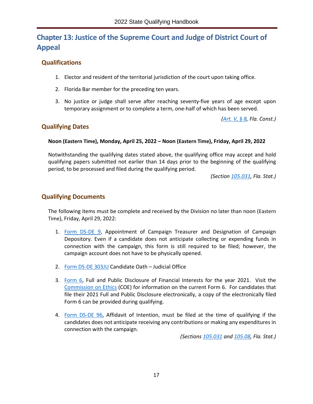## <span id="page-20-0"></span>**Chapter 13: Justice of the Supreme Court and Judge of District Court of Appeal**

#### <span id="page-20-1"></span>**Qualifications**

- 1. Elector and resident of the territorial jurisdiction of the court upon taking office.
- 2. Florida Bar member for the preceding ten years.
- 3. No justice or judge shall serve after reaching seventy-five years of age except upon temporary assignment or to complete a term, one-half of which has been served.

*[\(Art. V, § 8,](http://www.leg.state.fl.us/Statutes/index.cfm?Mode=Constitution&Submenu=3&Tab=statutes&CFID=13195281&CFTOKEN=ae5e12d0fe5032ed-80DC943E-0731-6B01-C7AB58BCCDC7BF98#A5S08) Fla. Const.)*

#### <span id="page-20-2"></span>**Qualifying Dates**

#### **Noon (Eastern Time), Monday, April 25, 2022 – Noon (Eastern Time), Friday, April 29, 2022**

Notwithstanding the qualifying dates stated above, the qualifying office may accept and hold qualifying papers submitted not earlier than 14 days prior to the beginning of the qualifying period, to be processed and filed during the qualifying period.

*(Section [105.031,](http://www.leg.state.fl.us/Statutes/index.cfm?App_mode=Display_Statute&Search_String=&URL=0100-0199/0105/Sections/0105.031.html) Fla. Stat.)*

#### <span id="page-20-3"></span>**Qualifying Documents**

The following items must be complete and received by the Division no later than noon (Eastern Time), Friday, April 29, 2022:

- 1. [Form DS-DE 9,](https://dos.myflorida.com/elections/forms-publications/forms/judicial-candidate-forms/) Appointment of Campaign Treasurer and Designation of Campaign Depository. Even if a candidate does not anticipate collecting or expending funds in connection with the campaign, this form is still required to be filed; however, the campaign account does not have to be physically opened.
- 2. [Form DS-DE 303JU](https://dos.myflorida.com/elections/forms-publications/forms/judicial-candidate-forms/) Candidate Oath Judicial Office
- 3. [Form 6,](http://www.ethics.state.fl.us/Index.aspx) Full and Public Disclosure of Financial Interests for the year 2021. Visit the [Commission on Ethics](http://www.ethics.state.fl.us/) (COE) for information on the current Form 6. For candidates that file their 2021 Full and Public Disclosure electronically, a copy of the electronically filed Form 6 can be provided during qualifying.
- 4. [Form DS-DE 96,](https://dos.myflorida.com/elections/forms-publications/forms/judicial-candidate-forms/) Affidavit of Intention, must be filed at the time of qualifying if the candidates does not anticipate receiving any contributions or making any expenditures in connection with the campaign.

*(Sections [105.031](http://www.leg.state.fl.us/Statutes/index.cfm?App_mode=Display_Statute&Search_String=&URL=0100-0199/0105/Sections/0105.031.html) and [105.08,](http://www.leg.state.fl.us/Statutes/index.cfm?App_mode=Display_Statute&Search_String=&URL=0100-0199/0105/Sections/0105.08.html) Fla. Stat.)*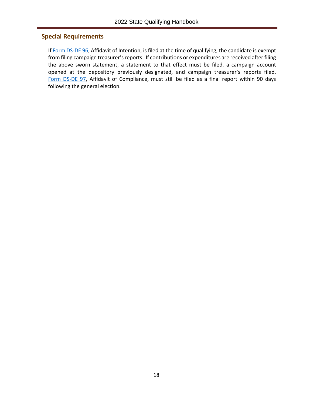#### <span id="page-21-0"></span>**Special Requirements**

If [Form DS-DE 96,](https://dos.myflorida.com/elections/forms-publications/forms/judicial-candidate-forms/) Affidavit of Intention, is filed at the time of qualifying, the candidate is exempt from filing campaign treasurer's reports. If contributions or expenditures are received after filing the above sworn statement, a statement to that effect must be filed, a campaign account opened at the depository previously designated, and campaign treasurer's reports filed. [Form DS-DE 97,](https://dos.myflorida.com/elections/forms-publications/forms/judicial-candidate-forms/) Affidavit of Compliance, must still be filed as a final report within 90 days following the general election.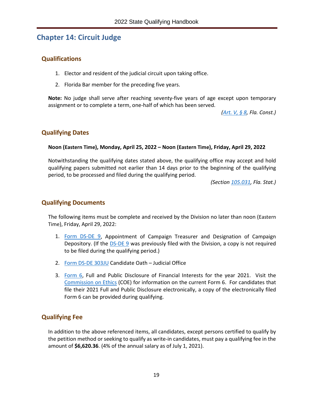## <span id="page-22-0"></span>**Chapter 14: Circuit Judge**

#### <span id="page-22-1"></span>**Qualifications**

- 1. Elector and resident of the judicial circuit upon taking office.
- 2. Florida Bar member for the preceding five years.

**Note:** No judge shall serve after reaching seventy-five years of age except upon temporary assignment or to complete a term, one-half of which has been served.

*[\(Art. V, § 8,](http://www.leg.state.fl.us/Statutes/index.cfm?Mode=Constitution&Submenu=3&Tab=statutes&CFID=13195281&CFTOKEN=ae5e12d0fe5032ed-80DC943E-0731-6B01-C7AB58BCCDC7BF98#A5S08) Fla. Const.)*

#### <span id="page-22-2"></span>**Qualifying Dates**

#### **Noon (Eastern Time), Monday, April 25, 2022 – Noon (Eastern Time), Friday, April 29, 2022**

Notwithstanding the qualifying dates stated above, the qualifying office may accept and hold qualifying papers submitted not earlier than 14 days prior to the beginning of the qualifying period, to be processed and filed during the qualifying period.

*(Section [105.031,](http://www.leg.state.fl.us/Statutes/index.cfm?App_mode=Display_Statute&Search_String=&URL=0100-0199/0105/Sections/0105.031.html) Fla. Stat.)*

#### <span id="page-22-3"></span>**Qualifying Documents**

The following items must be complete and received by the Division no later than noon (Eastern Time), Friday, April 29, 2022:

- 1. [Form DS-DE 9,](https://dos.myflorida.com/elections/forms-publications/forms/judicial-candidate-forms/) Appointment of Campaign Treasurer and Designation of Campaign Depository. (If the **DS-DE 9** was previously filed with the Division, a copy is not required to be filed during the qualifying period.)
- 2. [Form DS-DE 303JU](https://dos.myflorida.com/elections/forms-publications/forms/judicial-candidate-forms/) Candidate Oath Judicial Office
- 3. [Form 6,](http://www.ethics.state.fl.us/Index.aspx) Full and Public Disclosure of Financial Interests for the year 2021. Visit the [Commission on Ethics](http://www.ethics.state.fl.us/) (COE) for information on the current Form 6. For candidates that file their 2021 Full and Public Disclosure electronically, a copy of the electronically filed Form 6 can be provided during qualifying.

#### <span id="page-22-4"></span>**Qualifying Fee**

In addition to the above referenced items, all candidates, except persons certified to qualify by the petition method or seeking to qualify as write-in candidates, must pay a qualifying fee in the amount of **\$6,620.36**. (4% of the annual salary as of July 1, 2021).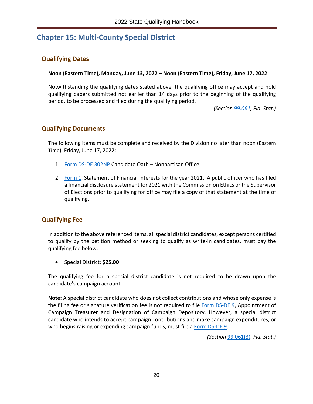## <span id="page-23-0"></span>**Chapter 15: Multi-County Special District**

#### <span id="page-23-1"></span>**Qualifying Dates**

**Noon (Eastern Time), Monday, June 13, 2022 – Noon (Eastern Time), Friday, June 17, 2022**

Notwithstanding the qualifying dates stated above, the qualifying office may accept and hold qualifying papers submitted not earlier than 14 days prior to the beginning of the qualifying period, to be processed and filed during the qualifying period.

*(Section [99.061,](http://www.leg.state.fl.us/Statutes/index.cfm?App_mode=Display_Statute&Search_String=&URL=0000-0099/0099/Sections/0099.061.html) Fla. Stat.)*

#### <span id="page-23-2"></span>**Qualifying Documents**

The following items must be complete and received by the Division no later than noon (Eastern Time), Friday, June 17, 2022:

- 1. [Form DS-DE 302NP](https://dos.myflorida.com/elections/forms-publications/forms/statewide-or-multicounty-candidate-forms/) Candidate Oath Nonpartisan Office
- 2. [Form 1,](http://www.ethics.state.fl.us/Index.aspx) Statement of Financial Interests for the year 2021. A public officer who has filed a financial disclosure statement for 2021 with the Commission on Ethics or the Supervisor of Elections prior to qualifying for office may file a copy of that statement at the time of qualifying.

#### <span id="page-23-3"></span>**Qualifying Fee**

In addition to the above referenced items, allspecial district candidates, except persons certified to qualify by the petition method or seeking to qualify as write-in candidates, must pay the qualifying fee below:

• Special District: **\$25.00**

The qualifying fee for a special district candidate is not required to be drawn upon the candidate's campaign account.

**Note:** A special district candidate who does not collect contributions and whose only expense is the filing fee or signature verification fee is not required to file [Form DS-DE 9,](https://dos.myflorida.com/elections/forms-publications/forms/statewide-or-multicounty-candidate-forms/) Appointment of Campaign Treasurer and Designation of Campaign Depository. However, a special district candidate who intends to accept campaign contributions and make campaign expenditures, or who begins raising or expending campaign funds, must file [a Form DS-DE](https://dos.myflorida.com/elections/forms-publications/forms/statewide-or-multicounty-candidate-forms/) 9.

*(Section* [99.061\(3\)](http://www.leg.state.fl.us/Statutes/index.cfm?App_mode=Display_Statute&Search_String=&URL=0000-0099/0099/Sections/0099.061.html)*, Fla. Stat.)*